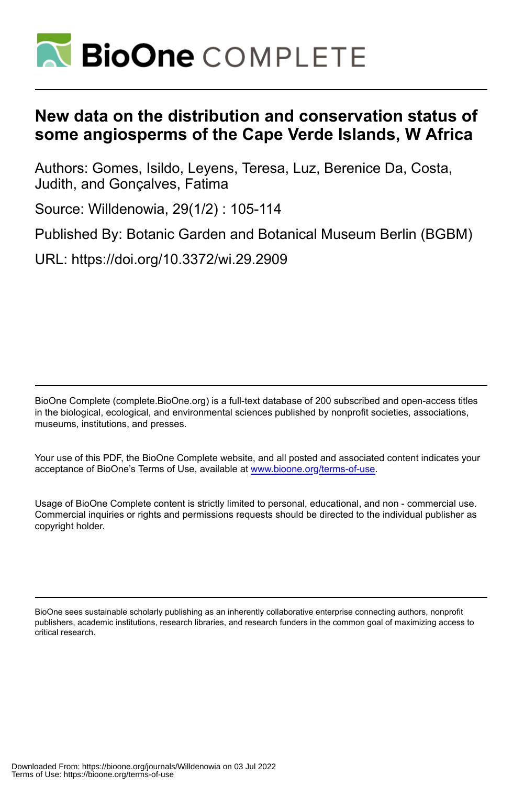

# **New data on the distribution and conservation status of some angiosperms of the Cape Verde Islands, W Africa**

Authors: Gomes, Isildo, Leyens, Teresa, Luz, Berenice Da, Costa, Judith, and Gonçalves, Fatima

Source: Willdenowia, 29(1/2) : 105-114

Published By: Botanic Garden and Botanical Museum Berlin (BGBM)

URL: https://doi.org/10.3372/wi.29.2909

BioOne Complete (complete.BioOne.org) is a full-text database of 200 subscribed and open-access titles in the biological, ecological, and environmental sciences published by nonprofit societies, associations, museums, institutions, and presses.

Your use of this PDF, the BioOne Complete website, and all posted and associated content indicates your acceptance of BioOne's Terms of Use, available at www.bioone.org/terms-of-use.

Usage of BioOne Complete content is strictly limited to personal, educational, and non - commercial use. Commercial inquiries or rights and permissions requests should be directed to the individual publisher as copyright holder.

BioOne sees sustainable scholarly publishing as an inherently collaborative enterprise connecting authors, nonprofit publishers, academic institutions, research libraries, and research funders in the common goal of maximizing access to critical research.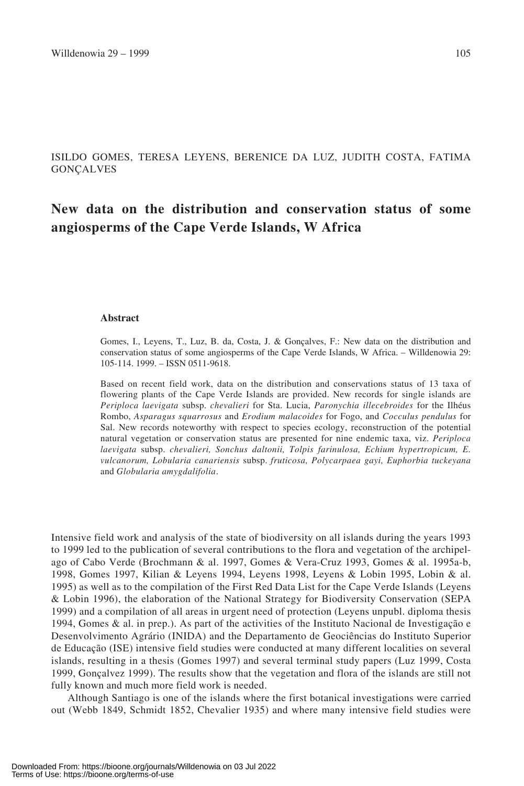ISILDO GOMES, TERESA LEYENS, BERENICE DA LUZ, JUDITH COSTA, FATIMA **GONCALVES** 

# **New data on the distribution and conservation status of some angiosperms of the Cape Verde Islands, W Africa**

#### **Abstract**

Gomes, I., Leyens, T., Luz, B. da, Costa, J. & Gonçalves, F.: New data on the distribution and conservation status of some angiosperms of the Cape Verde Islands, W Africa. – Willdenowia 29: 105-114. 1999. – ISSN 0511-9618.

Based on recent field work, data on the distribution and conservations status of 13 taxa of flowering plants of the Cape Verde Islands are provided. New records for single islands are *Periploca laevigata* subsp. *chevalieri* for Sta. Lucia, *Paronychia illecebroides* for the Ilhéus Rombo, *Asparagus squarrosus* and *Erodium malacoides* for Fogo, and *Cocculus pendulus* for Sal. New records noteworthy with respect to species ecology, reconstruction of the potential natural vegetation or conservation status are presented for nine endemic taxa, viz. *Periploca laevigata* subsp. *chevalieri, Sonchus daltonii, Tolpis farinulosa, Echium hypertropicum, E. vulcanorum, Lobularia canariensis* subsp. *fruticosa, Polycarpaea gayi, Euphorbia tuckeyana* and *Globularia amygdalifolia*.

Intensive field work and analysis of the state of biodiversity on all islands during the years 1993 to 1999 led to the publication of several contributions to the flora and vegetation of the archipelago of Cabo Verde (Brochmann & al. 1997, Gomes & Vera-Cruz 1993, Gomes & al. 1995a-b, 1998, Gomes 1997, Kilian & Leyens 1994, Leyens 1998, Leyens & Lobin 1995, Lobin & al. 1995) as well as to the compilation of the First Red Data List for the Cape Verde Islands (Leyens & Lobin 1996), the elaboration of the National Strategy for Biodiversity Conservation (SEPA 1999) and a compilation of all areas in urgent need of protection (Leyens unpubl. diploma thesis 1994, Gomes & al. in prep.). As part of the activities of the Instituto Nacional de Investigação e Desenvolvimento Agrário (INIDA) and the Departamento de Geociências do Instituto Superior de Educação (ISE) intensive field studies were conducted at many different localities on several islands, resulting in a thesis (Gomes 1997) and several terminal study papers (Luz 1999, Costa 1999, Gonçalvez 1999). The results show that the vegetation and flora of the islands are still not fully known and much more field work is needed.

Although Santiago is one of the islands where the first botanical investigations were carried out (Webb 1849, Schmidt 1852, Chevalier 1935) and where many intensive field studies were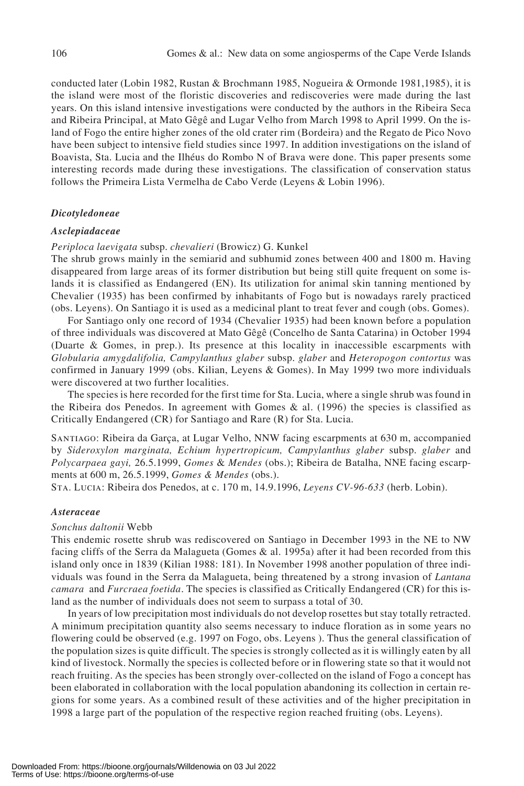conducted later (Lobin 1982, Rustan & Brochmann 1985, Nogueira & Ormonde 1981,1985), it is the island were most of the floristic discoveries and rediscoveries were made during the last years. On this island intensive investigations were conducted by the authors in the Ribeira Seca and Ribeira Principal, at Mato Gêgê and Lugar Velho from March 1998 to April 1999. On the island of Fogo the entire higher zones of the old crater rim (Bordeira) and the Regato de Pico Novo have been subject to intensive field studies since 1997. In addition investigations on the island of Boavista, Sta. Lucia and the Ilhéus do Rombo N of Brava were done. This paper presents some interesting records made during these investigations. The classification of conservation status follows the Primeira Lista Vermelha de Cabo Verde (Leyens & Lobin 1996).

# *Dicotyledoneae*

## *Asclepiadaceae*

## *Periploca laevigata* subsp. *chevalieri* (Browicz) G. Kunkel

The shrub grows mainly in the semiarid and subhumid zones between 400 and 1800 m. Having disappeared from large areas of its former distribution but being still quite frequent on some islands it is classified as Endangered (EN). Its utilization for animal skin tanning mentioned by Chevalier (1935) has been confirmed by inhabitants of Fogo but is nowadays rarely practiced (obs. Leyens). On Santiago it is used as a medicinal plant to treat fever and cough (obs. Gomes).

For Santiago only one record of 1934 (Chevalier 1935) had been known before a population of three individuals was discovered at Mato Gêgê (Concelho de Santa Catarina) in October 1994 (Duarte & Gomes, in prep.). Its presence at this locality in inaccessible escarpments with *Globularia amygdalifolia, Campylanthus glaber* subsp. *glaber* and *Heteropogon contortus* was confirmed in January 1999 (obs. Kilian, Leyens & Gomes). In May 1999 two more individuals were discovered at two further localities.

The species is here recorded for the first time for Sta. Lucia, where a single shrub was found in the Ribeira dos Penedos. In agreement with Gomes  $\&$  al. (1996) the species is classified as Critically Endangered (CR) for Santiago and Rare (R) for Sta. Lucia.

Santiago: Ribeira da Garça, at Lugar Velho, NNW facing escarpments at 630 m, accompanied by *Sideroxylon marginata, Echium hypertropicum, Campylanthus glaber* subsp. *glaber* and *Polycarpaea gayi,* 26.5.1999, *Gomes* & *Mendes* (obs.); Ribeira de Batalha, NNE facing escarpments at 600 m, 26.5.1999, *Gomes & Mendes* (obs.).

Sta. Lucia: Ribeira dos Penedos, at c. 170 m, 14.9.1996, *Leyens CV-96-633* (herb. Lobin).

# *Asteraceae*

### *Sonchus daltonii* Webb

This endemic rosette shrub was rediscovered on Santiago in December 1993 in the NE to NW facing cliffs of the Serra da Malagueta (Gomes  $\&$  al. 1995a) after it had been recorded from this island only once in 1839 (Kilian 1988: 181). In November 1998 another population of three individuals was found in the Serra da Malagueta, being threatened by a strong invasion of *Lantana camara* and *Furcraea foetida*. The species is classified as Critically Endangered (CR) for this island as the number of individuals does not seem to surpass a total of 30.

In years of low precipitation most individuals do not develop rosettes but stay totally retracted. A minimum precipitation quantity also seems necessary to induce floration as in some years no flowering could be observed (e.g. 1997 on Fogo, obs. Leyens ). Thus the general classification of the population sizes is quite difficult. The species is strongly collected as it is willingly eaten by all kind of livestock. Normally the species is collected before or in flowering state so that it would not reach fruiting. As the species has been strongly over-collected on the island of Fogo a concept has been elaborated in collaboration with the local population abandoning its collection in certain regions for some years. As a combined result of these activities and of the higher precipitation in 1998 a large part of the population of the respective region reached fruiting (obs. Leyens).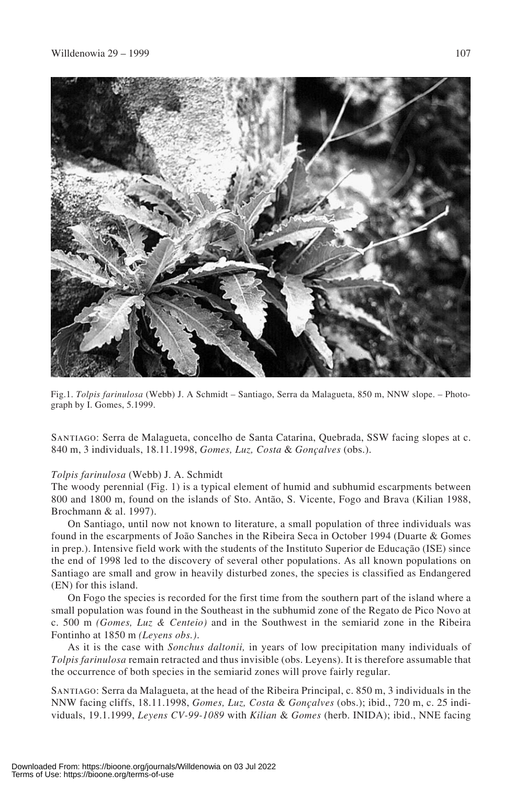

Fig.1. *Tolpis farinulosa* (Webb) J. A Schmidt – Santiago, Serra da Malagueta, 850 m, NNW slope. – Photograph by I. Gomes, 5.1999.

Santiago: Serra de Malagueta, concelho de Santa Catarina, Quebrada, SSW facing slopes at c. 840 m, 3 individuals, 18.11.1998, *Gomes, Luz, Costa* & *Gonçalves* (obs.).

#### *Tolpis farinulosa* (Webb) J. A. Schmidt

The woody perennial (Fig. 1) is a typical element of humid and subhumid escarpments between 800 and 1800 m, found on the islands of Sto. Antão, S. Vicente, Fogo and Brava (Kilian 1988, Brochmann & al. 1997).

On Santiago, until now not known to literature, a small population of three individuals was found in the escarpments of João Sanches in the Ribeira Seca in October 1994 (Duarte & Gomes in prep.). Intensive field work with the students of the Instituto Superior de Educação (ISE) since the end of 1998 led to the discovery of several other populations. As all known populations on Santiago are small and grow in heavily disturbed zones, the species is classified as Endangered (EN) for this island.

On Fogo the species is recorded for the first time from the southern part of the island where a small population was found in the Southeast in the subhumid zone of the Regato de Pico Novo at c. 500 m *(Gomes, Luz & Centeio)* and in the Southwest in the semiarid zone in the Ribeira Fontinho at 1850 m *(Leyens obs.)*.

As it is the case with *Sonchus daltonii,* in years of low precipitation many individuals of *Tolpis farinulosa* remain retracted and thus invisible (obs. Leyens). It is therefore assumable that the occurrence of both species in the semiarid zones will prove fairly regular.

Santiago: Serra da Malagueta, at the head of the Ribeira Principal, c. 850 m, 3 individuals in the NNW facing cliffs, 18.11.1998, *Gomes, Luz, Costa* & *Gonçalves* (obs.); ibid., 720 m, c. 25 individuals, 19.1.1999, *Leyens CV-99-1089* with *Kilian* & *Gomes* (herb. INIDA); ibid., NNE facing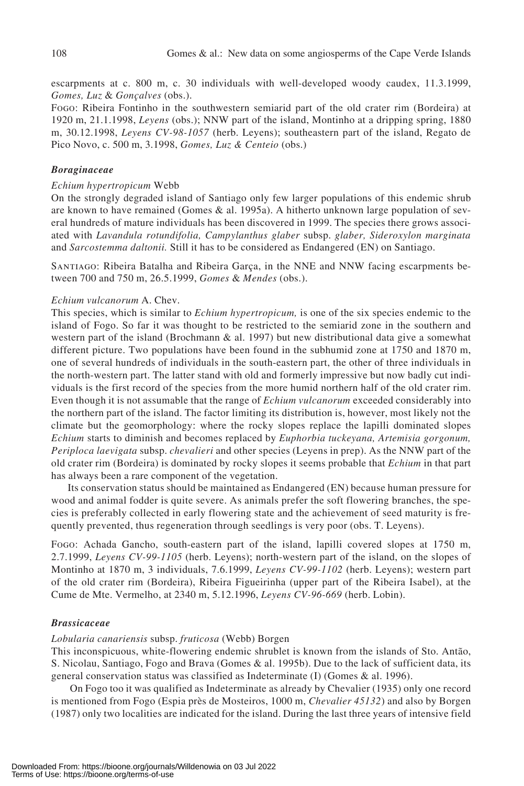escarpments at c. 800 m, c. 30 individuals with well-developed woody caudex, 11.3.1999, *Gomes, Luz* & *Gonçalves* (obs.).

Fogo: Ribeira Fontinho in the southwestern semiarid part of the old crater rim (Bordeira) at 1920 m, 21.1.1998, *Leyens* (obs.); NNW part of the island, Montinho at a dripping spring, 1880 m, 30.12.1998, *Leyens CV-98-1057* (herb. Leyens); southeastern part of the island, Regato de Pico Novo, c. 500 m, 3.1998, *Gomes, Luz & Centeio* (obs.)

# *Boraginaceae*

#### *Echium hypertropicum* Webb

On the strongly degraded island of Santiago only few larger populations of this endemic shrub are known to have remained (Gomes & al. 1995a). A hitherto unknown large population of several hundreds of mature individuals has been discovered in 1999. The species there grows associated with *Lavandula rotundifolia, Campylanthus glaber* subsp. *glaber, Sideroxylon marginata* and *Sarcostemma daltonii.* Still it has to be considered as Endangered (EN) on Santiago.

Santiago: Ribeira Batalha and Ribeira Garça, in the NNE and NNW facing escarpments between 700 and 750 m, 26.5.1999, *Gomes* & *Mendes* (obs.).

## *Echium vulcanorum* A. Chev.

This species, which is similar to *Echium hypertropicum,* is one of the six species endemic to the island of Fogo. So far it was thought to be restricted to the semiarid zone in the southern and western part of the island (Brochmann  $\&$  al. 1997) but new distributional data give a somewhat different picture. Two populations have been found in the subhumid zone at 1750 and 1870 m, one of several hundreds of individuals in the south-eastern part, the other of three individuals in the north-western part. The latter stand with old and formerly impressive but now badly cut individuals is the first record of the species from the more humid northern half of the old crater rim. Even though it is not assumable that the range of *Echium vulcanorum* exceeded considerably into the northern part of the island. The factor limiting its distribution is, however, most likely not the climate but the geomorphology: where the rocky slopes replace the lapilli dominated slopes *Echium* starts to diminish and becomes replaced by *Euphorbia tuckeyana, Artemisia gorgonum, Periploca laevigata* subsp. *chevalieri* and other species (Leyens in prep). As the NNW part of the old crater rim (Bordeira) is dominated by rocky slopes it seems probable that *Echium* in that part has always been a rare component of the vegetation.

Its conservation status should be maintained as Endangered (EN) because human pressure for wood and animal fodder is quite severe. As animals prefer the soft flowering branches, the species is preferably collected in early flowering state and the achievement of seed maturity is frequently prevented, thus regeneration through seedlings is very poor (obs. T. Leyens).

Fogo: Achada Gancho, south-eastern part of the island, lapilli covered slopes at 1750 m, 2.7.1999, *Leyens CV-99-1105* (herb. Leyens); north-western part of the island, on the slopes of Montinho at 1870 m, 3 individuals, 7.6.1999, *Leyens CV-99-1102* (herb. Leyens); western part of the old crater rim (Bordeira), Ribeira Figueirinha (upper part of the Ribeira Isabel), at the Cume de Mte. Vermelho, at 2340 m, 5.12.1996, *Leyens CV-96-669* (herb. Lobin).

## *Brassicaceae*

## *Lobularia canariensis* subsp. *fruticosa* (Webb) Borgen

This inconspicuous, white-flowering endemic shrublet is known from the islands of Sto. Antão, S. Nicolau, Santiago, Fogo and Brava (Gomes & al. 1995b). Due to the lack of sufficient data, its general conservation status was classified as Indeterminate (I) (Gomes & al. 1996).

On Fogo too it was qualified as Indeterminate as already by Chevalier (1935) only one record is mentioned from Fogo (Espia près de Mosteiros, 1000 m, *Chevalier 45132*) and also by Borgen (1987) only two localities are indicated for the island. During the last three years of intensive field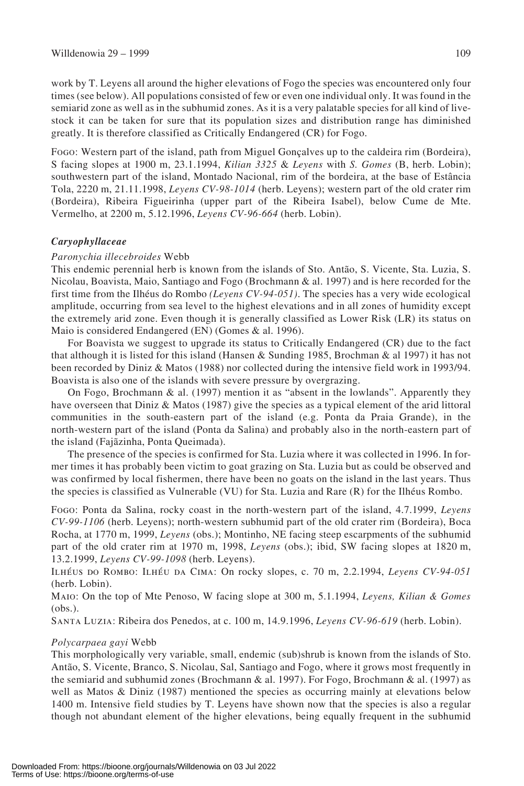work by T. Leyens all around the higher elevations of Fogo the species was encountered only four times (see below). All populations consisted of few or even one individual only. It was found in the semiarid zone as well as in the subhumid zones. As it is a very palatable species for all kind of livestock it can be taken for sure that its population sizes and distribution range has diminished greatly. It is therefore classified as Critically Endangered (CR) for Fogo.

Fogo: Western part of the island, path from Miguel Gonçalves up to the caldeira rim (Bordeira), S facing slopes at 1900 m, 23.1.1994, *Kilian 3325* & *Leyens* with *S. Gomes* (B, herb. Lobin); southwestern part of the island, Montado Nacional, rim of the bordeira, at the base of Estância Tola, 2220 m, 21.11.1998, *Leyens CV-98-1014* (herb. Leyens); western part of the old crater rim (Bordeira), Ribeira Figueirinha (upper part of the Ribeira Isabel), below Cume de Mte. Vermelho, at 2200 m, 5.12.1996, *Leyens CV-96-664* (herb. Lobin).

# *Caryophyllaceae*

# *Paronychia illecebroides* Webb

This endemic perennial herb is known from the islands of Sto. Antão, S. Vicente, Sta. Luzia, S. Nicolau, Boavista, Maio, Santiago and Fogo (Brochmann & al. 1997) and is here recorded for the first time from the Ilhéus do Rombo *(Leyens CV-94-051)*. The species has a very wide ecological amplitude, occurring from sea level to the highest elevations and in all zones of humidity except the extremely arid zone. Even though it is generally classified as Lower Risk (LR) its status on Maio is considered Endangered (EN) (Gomes & al. 1996).

For Boavista we suggest to upgrade its status to Critically Endangered (CR) due to the fact that although it is listed for this island (Hansen & Sunding 1985, Brochman & al 1997) it has not been recorded by Diniz & Matos (1988) nor collected during the intensive field work in 1993/94. Boavista is also one of the islands with severe pressure by overgrazing.

On Fogo, Brochmann & al.  $(1997)$  mention it as "absent in the lowlands". Apparently they have overseen that Diniz & Matos (1987) give the species as a typical element of the arid littoral communities in the south-eastern part of the island (e.g. Ponta da Praia Grande), in the north-western part of the island (Ponta da Salina) and probably also in the north-eastern part of the island (Fajãzinha, Ponta Queimada).

The presence of the species is confirmed for Sta. Luzia where it was collected in 1996. In former times it has probably been victim to goat grazing on Sta. Luzia but as could be observed and was confirmed by local fishermen, there have been no goats on the island in the last years. Thus the species is classified as Vulnerable (VU) for Sta. Luzia and Rare (R) for the Ilhéus Rombo.

Fogo: Ponta da Salina, rocky coast in the north-western part of the island, 4.7.1999, *Leyens CV-99-1106* (herb. Leyens); north-western subhumid part of the old crater rim (Bordeira), Boca Rocha, at 1770 m, 1999, *Leyens* (obs.); Montinho, NE facing steep escarpments of the subhumid part of the old crater rim at 1970 m, 1998, *Leyens* (obs.); ibid, SW facing slopes at 1820 m, 13.2.1999, *Leyens CV-99-1098* (herb. Leyens).

Ilhéus do Rombo: Ilhéu da Cima: On rocky slopes, c. 70 m, 2.2.1994, *Leyens CV-94-051* (herb. Lobin).

Maio: On the top of Mte Penoso, W facing slope at 300 m, 5.1.1994, *Leyens, Kilian & Gomes*  $(obs.)$ .

Santa Luzia: Ribeira dos Penedos, at c. 100 m, 14.9.1996, *Leyens CV-96-619* (herb. Lobin).

# *Polycarpaea gayi* Webb

This morphologically very variable, small, endemic (sub)shrub is known from the islands of Sto. Antão, S. Vicente, Branco, S. Nicolau, Sal, Santiago and Fogo, where it grows most frequently in the semiarid and subhumid zones (Brochmann & al. 1997). For Fogo, Brochmann & al. (1997) as well as Matos & Diniz (1987) mentioned the species as occurring mainly at elevations below 1400 m. Intensive field studies by T. Leyens have shown now that the species is also a regular though not abundant element of the higher elevations, being equally frequent in the subhumid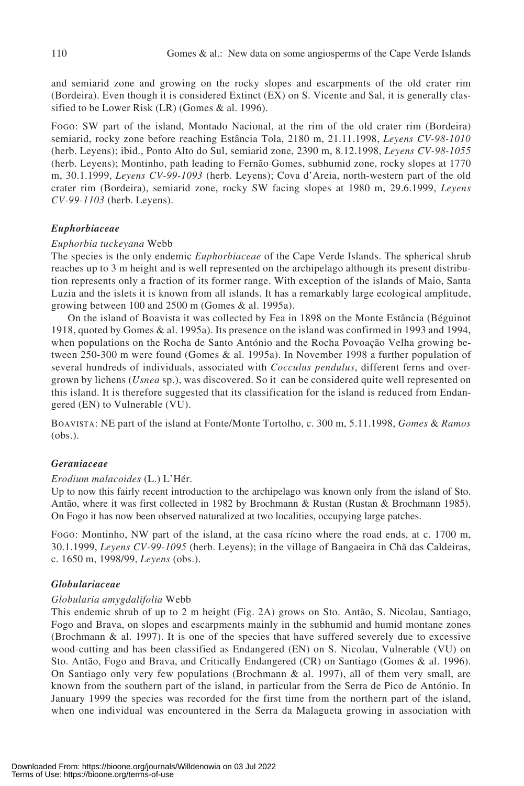and semiarid zone and growing on the rocky slopes and escarpments of the old crater rim (Bordeira). Even though it is considered Extinct (EX) on S. Vicente and Sal, it is generally classified to be Lower Risk (LR) (Gomes & al. 1996).

Fogo: SW part of the island, Montado Nacional, at the rim of the old crater rim (Bordeira) semiarid, rocky zone before reaching Estância Tola, 2180 m, 21.11.1998, *Leyens CV-98-1010* (herb. Leyens); ibid., Ponto Alto do Sul, semiarid zone, 2390 m, 8.12.1998, *Leyens CV-98-1055* (herb. Leyens); Montinho, path leading to Fernão Gomes, subhumid zone, rocky slopes at 1770 m, 30.1.1999, *Leyens CV-99-1093* (herb. Leyens); Cova d'Areia, north-western part of the old crater rim (Bordeira), semiarid zone, rocky SW facing slopes at 1980 m, 29.6.1999, *Leyens CV-99-1103* (herb. Leyens).

# *Euphorbiaceae*

# *Euphorbia tuckeyana* Webb

The species is the only endemic *Euphorbiaceae* of the Cape Verde Islands. The spherical shrub reaches up to 3 m height and is well represented on the archipelago although its present distribution represents only a fraction of its former range. With exception of the islands of Maio, Santa Luzia and the islets it is known from all islands. It has a remarkably large ecological amplitude, growing between 100 and 2500 m (Gomes & al. 1995a).

On the island of Boavista it was collected by Fea in 1898 on the Monte Estância (Béguinot 1918, quoted by Gomes & al. 1995a). Its presence on the island was confirmed in 1993 and 1994, when populations on the Rocha de Santo António and the Rocha Povoação Velha growing between 250-300 m were found (Gomes & al. 1995a). In November 1998 a further population of several hundreds of individuals, associated with *Cocculus pendulus*, different ferns and overgrown by lichens (*Usnea* sp.), was discovered. So it can be considered quite well represented on this island. It is therefore suggested that its classification for the island is reduced from Endangered (EN) to Vulnerable (VU).

Boavista: NE part of the island at Fonte/Monte Tortolho, c. 300 m, 5.11.1998, *Gomes* & *Ramos* (obs.).

# *Geraniaceae*

# *Erodium malacoides* (L.) L'Hér.

Up to now this fairly recent introduction to the archipelago was known only from the island of Sto. Antão, where it was first collected in 1982 by Brochmann & Rustan (Rustan & Brochmann 1985). On Fogo it has now been observed naturalized at two localities, occupying large patches.

Fogo: Montinho, NW part of the island, at the casa rícino where the road ends, at c. 1700 m, 30.1.1999, *Leyens CV-99-1095* (herb. Leyens); in the village of Bangaeira in Chã das Caldeiras, c. 1650 m, 1998/99, *Leyens* (obs.).

# *Globulariaceae*

#### *Globularia amygdalifolia* Webb

This endemic shrub of up to 2 m height (Fig. 2A) grows on Sto. Antão, S. Nicolau, Santiago, Fogo and Brava, on slopes and escarpments mainly in the subhumid and humid montane zones (Brochmann & al. 1997). It is one of the species that have suffered severely due to excessive wood-cutting and has been classified as Endangered (EN) on S. Nicolau, Vulnerable (VU) on Sto. Antão, Fogo and Brava, and Critically Endangered (CR) on Santiago (Gomes & al. 1996). On Santiago only very few populations (Brochmann & al. 1997), all of them very small, are known from the southern part of the island, in particular from the Serra de Pico de António. In January 1999 the species was recorded for the first time from the northern part of the island, when one individual was encountered in the Serra da Malagueta growing in association with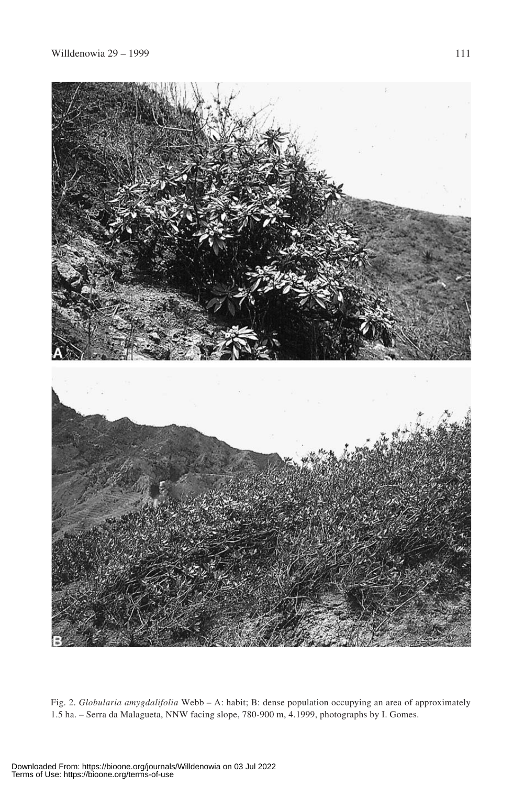

Fig. 2. *Globularia amygdalifolia* Webb – A: habit; B: dense population occupying an area of approximately 1.5 ha. – Serra da Malagueta, NNW facing slope, 780-900 m, 4.1999, photographs by I. Gomes.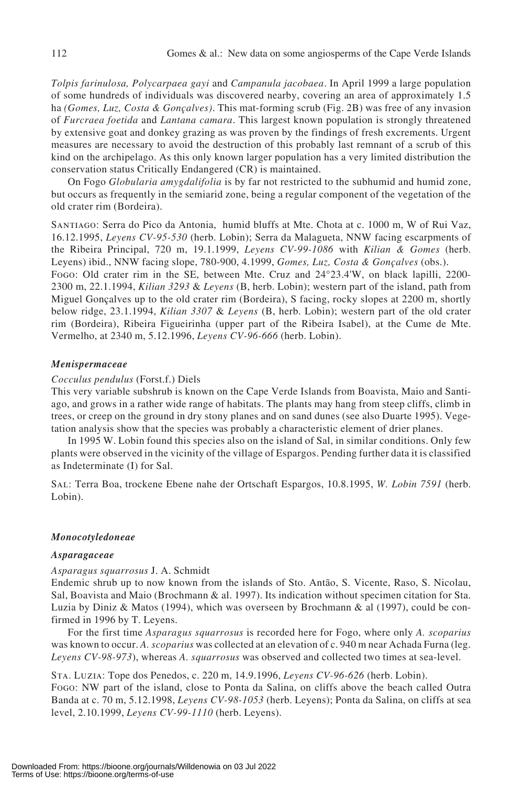*Tolpis farinulosa, Polycarpaea gayi* and *Campanula jacobaea*. In April 1999 a large population of some hundreds of individuals was discovered nearby, covering an area of approximately 1.5 ha *(Gomes, Luz, Costa & Gonçalves)*. This mat-forming scrub (Fig. 2B) was free of any invasion of *Furcraea foetida* and *Lantana camara*. This largest known population is strongly threatened by extensive goat and donkey grazing as was proven by the findings of fresh excrements. Urgent measures are necessary to avoid the destruction of this probably last remnant of a scrub of this kind on the archipelago. As this only known larger population has a very limited distribution the conservation status Critically Endangered (CR) is maintained.

On Fogo *Globularia amygdalifolia* is by far not restricted to the subhumid and humid zone, but occurs as frequently in the semiarid zone, being a regular component of the vegetation of the old crater rim (Bordeira).

Santiago: Serra do Pico da Antonia, humid bluffs at Mte. Chota at c. 1000 m, W of Rui Vaz, 16.12.1995, *Leyens CV-95-530* (herb. Lobin); Serra da Malagueta, NNW facing escarpments of the Ribeira Principal, 720 m, 19.1.1999, *Leyens CV-99-1086* with *Kilian & Gomes* (herb. Leyens) ibid., NNW facing slope, 780-900, 4.1999, *Gomes, Luz, Costa & Gonçalves* (obs.).

Fogo: Old crater rim in the SE, between Mte. Cruz and 24°23.4'W, on black lapilli, 2200- 2300 m, 22.1.1994, *Kilian 3293* & *Leyens* (B, herb. Lobin); western part of the island, path from Miguel Gonçalves up to the old crater rim (Bordeira), S facing, rocky slopes at 2200 m, shortly below ridge, 23.1.1994, *Kilian 3307* & *Leyens* (B, herb. Lobin); western part of the old crater rim (Bordeira), Ribeira Figueirinha (upper part of the Ribeira Isabel), at the Cume de Mte. Vermelho, at 2340 m, 5.12.1996, *Leyens CV-96-666* (herb. Lobin).

## *Menispermaceae*

## *Cocculus pendulus* (Forst.f.) Diels

This very variable subshrub is known on the Cape Verde Islands from Boavista, Maio and Santiago, and grows in a rather wide range of habitats. The plants may hang from steep cliffs, climb in trees, or creep on the ground in dry stony planes and on sand dunes (see also Duarte 1995). Vegetation analysis show that the species was probably a characteristic element of drier planes.

In 1995 W. Lobin found this species also on the island of Sal, in similar conditions. Only few plants were observed in the vicinity of the village of Espargos. Pending further data it is classified as Indeterminate (I) for Sal.

Sal: Terra Boa, trockene Ebene nahe der Ortschaft Espargos, 10.8.1995, *W. Lobin 7591* (herb. Lobin).

### *Monocotyledoneae*

# *Asparagaceae*

#### *Asparagus squarrosus* J. A. Schmidt

Endemic shrub up to now known from the islands of Sto. Antão, S. Vicente, Raso, S. Nicolau, Sal, Boavista and Maio (Brochmann & al. 1997). Its indication without specimen citation for Sta. Luzia by Diniz & Matos (1994), which was overseen by Brochmann & al (1997), could be confirmed in 1996 by T. Leyens.

For the first time *Asparagus squarrosus* is recorded here for Fogo, where only *A. scoparius* was known to occur. *A. scoparius* was collected at an elevation of c. 940 m near Achada Furna (leg. *Leyens CV-98-973*), whereas *A. squarrosus* was observed and collected two times at sea-level.

Sta. Luzia: Tope dos Penedos, c. 220 m, 14.9.1996, *Leyens CV-96-626* (herb. Lobin). Fogo: NW part of the island, close to Ponta da Salina, on cliffs above the beach called Outra Banda at c. 70 m, 5.12.1998, *Leyens CV-98-1053* (herb. Leyens); Ponta da Salina, on cliffs at sea level, 2.10.1999, *Leyens CV-99-1110* (herb. Leyens).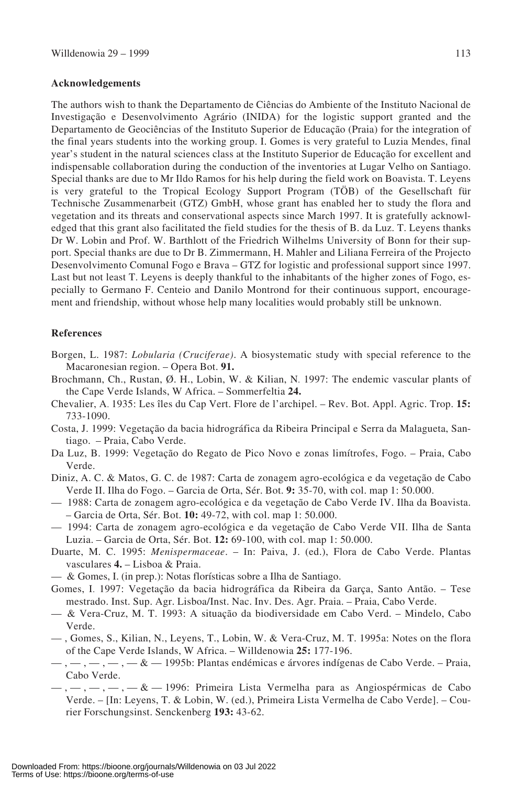# **Acknowledgements**

The authors wish to thank the Departamento de Ciências do Ambiente of the Instituto Nacional de Investigação e Desenvolvimento Agrário (INIDA) for the logistic support granted and the Departamento de Geociências of the Instituto Superior de Educação (Praia) for the integration of the final years students into the working group. I. Gomes is very grateful to Luzia Mendes, final year's student in the natural sciences class at the Instituto Superior de Educação for excellent and indispensable collaboration during the conduction of the inventories at Lugar Velho on Santiago. Special thanks are due to Mr Ildo Ramos for his help during the field work on Boavista. T. Leyens is very grateful to the Tropical Ecology Support Program (TÖB) of the Gesellschaft für Technische Zusammenarbeit (GTZ) GmbH, whose grant has enabled her to study the flora and vegetation and its threats and conservational aspects since March 1997. It is gratefully acknowledged that this grant also facilitated the field studies for the thesis of B. da Luz. T. Leyens thanks Dr W. Lobin and Prof. W. Barthlott of the Friedrich Wilhelms University of Bonn for their support. Special thanks are due to Dr B. Zimmermann, H. Mahler and Liliana Ferreira of the Projecto Desenvolvimento Comunal Fogo e Brava – GTZ for logistic and professional support since 1997. Last but not least T. Leyens is deeply thankful to the inhabitants of the higher zones of Fogo, especially to Germano F. Centeio and Danilo Montrond for their continuous support, encouragement and friendship, without whose help many localities would probably still be unknown.

# **References**

- Borgen, L. 1987: *Lobularia (Cruciferae)*. A biosystematic study with special reference to the Macaronesian region. – Opera Bot. **91.**
- Brochmann, Ch., Rustan, Ø. H., Lobin, W. & Kilian, N. 1997: The endemic vascular plants of the Cape Verde Islands, W Africa. – Sommerfeltia **24.**
- Chevalier, A. 1935: Les îles du Cap Vert. Flore de l'archipel. Rev. Bot. Appl. Agric. Trop. **15:** 733-1090.
- Costa, J. 1999: Vegetação da bacia hidrográfica da Ribeira Principal e Serra da Malagueta, Santiago. – Praia, Cabo Verde.
- Da Luz, B. 1999: Vegetação do Regato de Pico Novo e zonas limítrofes, Fogo. Praia, Cabo Verde.
- Diniz, A. C. & Matos, G. C. de 1987: Carta de zonagem agro-ecológica e da vegetação de Cabo Verde II. Ilha do Fogo. – Garcia de Orta, Sér. Bot. **9:** 35-70, with col. map 1: 50.000.
- 1988: Carta de zonagem agro-ecológica e da vegetação de Cabo Verde IV. Ilha da Boavista. – Garcia de Orta, Sér. Bot. **10:** 49-72, with col. map 1: 50.000.
- 1994: Carta de zonagem agro-ecológica e da vegetação de Cabo Verde VII. Ilha de Santa Luzia. – Garcia de Orta, Sér. Bot. **12:** 69-100, with col. map 1: 50.000.
- Duarte, M. C. 1995: *Menispermaceae*. In: Paiva, J. (ed.), Flora de Cabo Verde. Plantas vasculares **4.** – Lisboa & Praia.
- & Gomes, I. (in prep.): Notas florísticas sobre a Ilha de Santiago.
- Gomes, I. 1997: Vegetação da bacia hidrográfica da Ribeira da Garça, Santo Antão. Tese mestrado. Inst. Sup. Agr. Lisboa/Inst. Nac. Inv. Des. Agr. Praia. – Praia, Cabo Verde.
- & Vera-Cruz, M. T. 1993: A situação da biodiversidade em Cabo Verd. Mindelo, Cabo Verde.
- , Gomes, S., Kilian, N., Leyens, T., Lobin, W. & Vera-Cruz, M. T. 1995a: Notes on the flora of the Cape Verde Islands, W Africa. – Willdenowia **25:** 177-196.
- $-,-,-,-, \&$   $-$  1995b: Plantas endémicas e árvores indígenas de Cabo Verde. Praia, Cabo Verde.
- $-,-,-,-, \&$   $-$  1996: Primeira Lista Vermelha para as Angiospérmicas de Cabo Verde. – [In: Leyens, T. & Lobin, W. (ed.), Primeira Lista Vermelha de Cabo Verde]. – Courier Forschungsinst. Senckenberg **193:** 43-62.